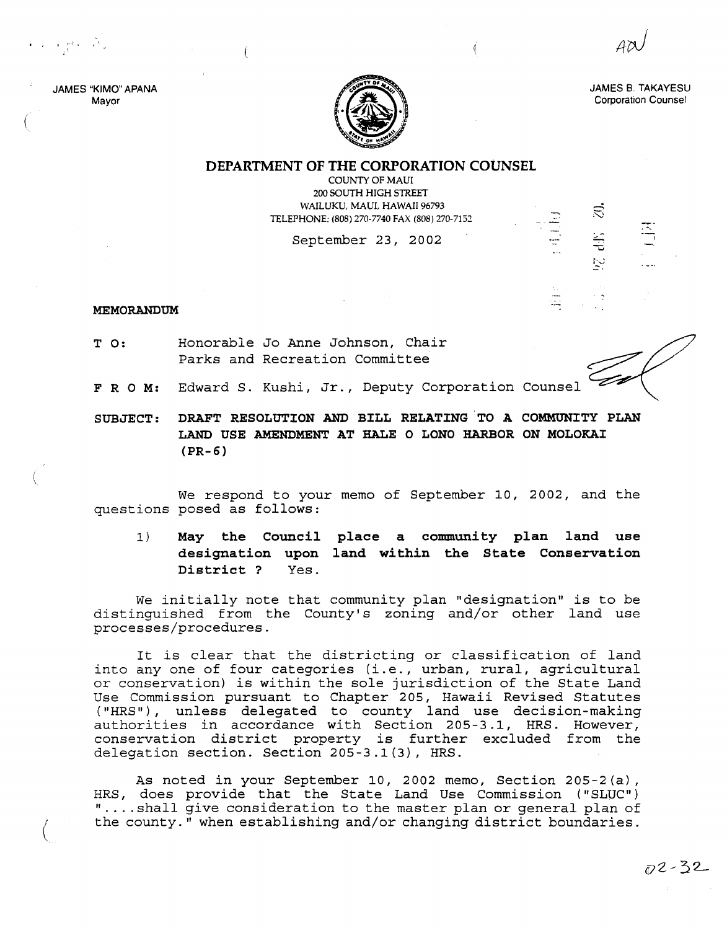JAMES "KIMO" APANA Mayor

 $\mathbf{r} \in \mathbb{R}^{2 \times 1}$  to the set

(



JAMES B, TAKAYESU Corporation Counsel

## DEPARTMENT OF THE CORPORATION COUNSEL

COUNTY OF MAUl 200 SOUTH HIGH STREET WAILUKU, MAUL HAWAII 96793 TELEPHONE: (808) 270-7740 FAX (808) 270-7152

September 23, 2002

## MEMORANDUM

- T 0: Honorable Jo Anne Johnson, Chair Parks and Recreation Committee
- F R O M: Edward S. Kushi, Jr., Deputy Corporation Counsel
- SUBJECT: DRAFT RESOLUTION AND BILL RELATING 'TO A COMMUNITY PLAN LAND USE AMENDMENT AT HALE 0 LONO HARBOR ON MOLOKAI (PR-6)

We respond to your memo of September 10, 2002, and the questions posed as follows:

1) May the Council place a community plan land use designation upon land within the State Conservation District? Yes.

We initially note that community plan "designation" is to be distinguished from the County's zoning and/or other land use processes/procedures.

It is clear that the districting or classification of land *into* anyone of four categories *(i.e.,* urban, rural, agricultural or conservation) is within the sole jurisdiction of the State Land Use Commission pursuant to Chapter 205, Hawaii Revised Statutes ("HRS"), unless delegated to county land use decision-making authorities in accordance with Section 205-3.1, HRS. However, conservation district property is further excluded from the delegation section. Section 205-3.1(3), HRS.

As noted in your September 10, 2002 memo, Section 205-2(a), HRS, does provide that the State Land Use Commission ("SLUC") " ....shall give consideration to the master plan or general plan of the county." when establishing and/or changing district boundaries.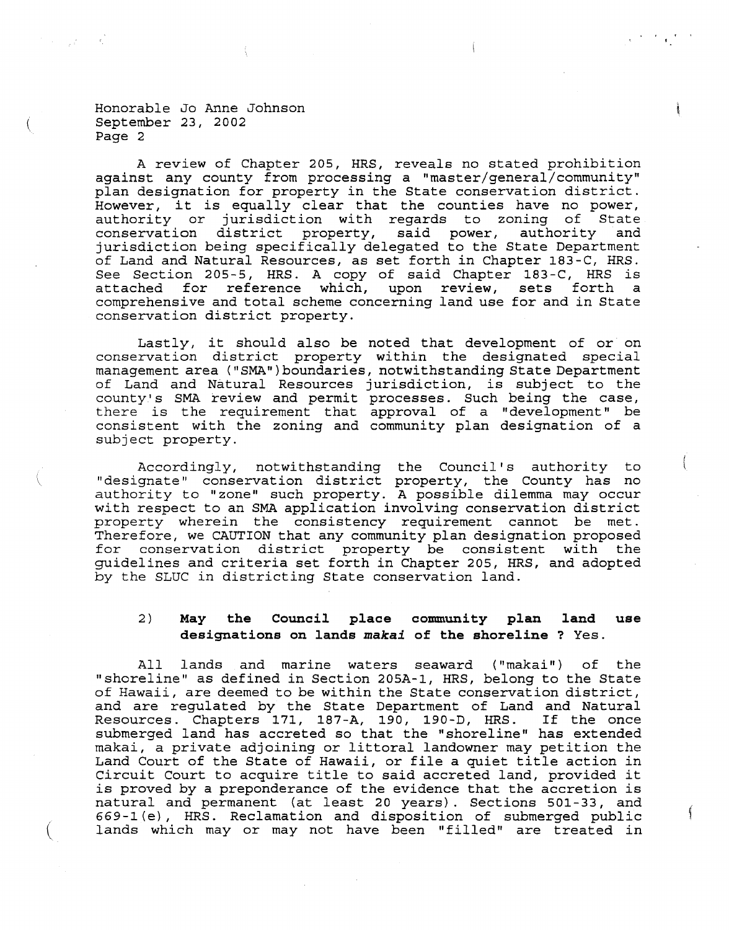Honorable Jo Anne Johnson September 23, 2002 Page 2

(

A review of Chapter 205, HRS, reveals no stated prohibition against any county from processing a "master/general/community" plan designation for property in the State conservation district. However, it is equally clear that the counties have no power, authority or jurisdiction with regards to zoning of State conservation district property, said power, authority jurisdiction being specifically delegated to the State Department of Land and Natural Resources, as set forth in Chapter *183-C,* HRS. See Section 205-5, HRS. <sup>A</sup> copy of said Chapter *183-C,* HRS is for reference which, upon review, sets forth a comprehensive and total scheme concerning land use for and in State conservation district property.

Lastly, it should also be noted that development of or on conservation district property within the designated special management area ("SMA")boundaries, notwithstanding State Department of Land and Natural Resources jurisdiction, is subject to the county· s SMA review and permit processes. Such being the case, there is the requirement that approval of a "development" be consistent with the zoning and community plan designation of a subject property.

Accordingly, notwithstanding the Council's authority to Incordingly, incordinguating the countil 5 duchoity to authority to "zone" such property. A possible dilemma may occur with respect to an SMA application involving conservation district property wherein the consistency requirement cannot be met. Therefore, we CAUTION that any community plan designation proposed for conservation district property be consistent with the guidelines and criteria set forth in Chapter 205, HRS, and adopted by the SLUC in districting State conservation land.

## 2) **May the Council place community plan designations on lands** *makai* **of the shoreline** ? Yes. **land use**

All lands and marine waters seaward ("makai") of the "shoreline" as defined in Section 205A-1, HRS, belong to the State of Hawaii, are deemed to be within the State conservation district, and are regulated by the State Department of Land and Natural Resources. Chapters 171, 187-A, 190, 190-D, HRS. If the once submerged land has accreted so that the "shoreline" has extended makai, <sup>a</sup> private adjoining or littoral landowner may petition the Land Court of the State of Hawaii, or file <sup>a</sup> quiet title action in Circuit Court to acquire title to said accreted land, provided it is proved by <sup>a</sup> preponderance of the evidence that the accretion is natural and permanent (at least 20 years). Sections 501-33, and 669-1 (e), HRS. Reclamation and disposition of submerged public lands which may or may not have been "filled" are treated in